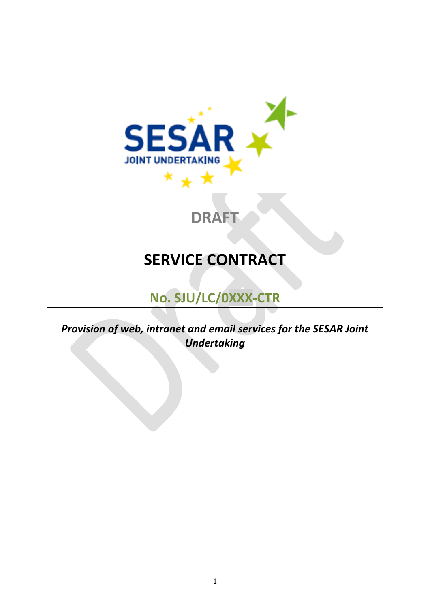<span id="page-0-0"></span>

# **DRAFT**

# **SERVICE CONTRACT**

## **No. SJU/LC/0XXX-CTR**

*Provision of web, intranet and email services for the SESAR Joint Undertaking*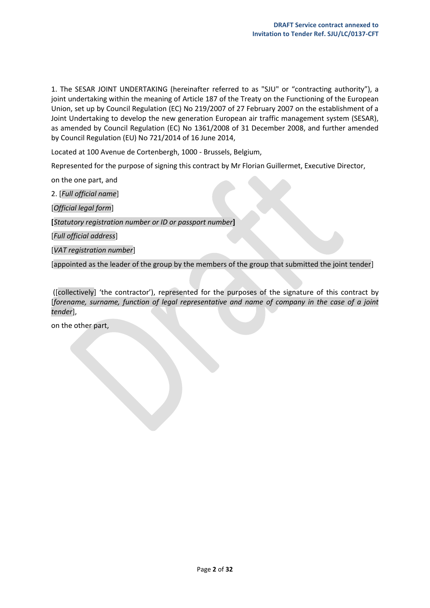1. The SESAR JOINT UNDERTAKING (hereinafter referred to as "SJU" or "contracting authority"), a joint undertaking within the meaning of Article 187 of the Treaty on the Functioning of the European Union, set up by Council Regulation (EC) No 219/2007 of 27 February 2007 on the establishment of a Joint Undertaking to develop the new generation European air traffic management system (SESAR), as amended by Council Regulation (EC) No 1361/2008 of 31 December 2008, and further amended by Council Regulation (EU) No 721/2014 of 16 June 2014,

Located at 100 Avenue de Cortenbergh, 1000 - Brussels, Belgium,

Represented for the purpose of signing this contract by Mr Florian Guillermet, Executive Director,

on the one part, and

2. [*Full official name*]

[*Official legal form*]

**[***Statutory registration number or ID or passport number***]**

[*Full official address*]

[*VAT registration number*]

[appointed as the leader of the group by the members of the group that submitted the joint tender]

([collectively] 'the contractor'), represented for the purposes of the signature of this contract by [*forename, surname, function of legal representative and name of company in the case of a joint tender*],

on the other part,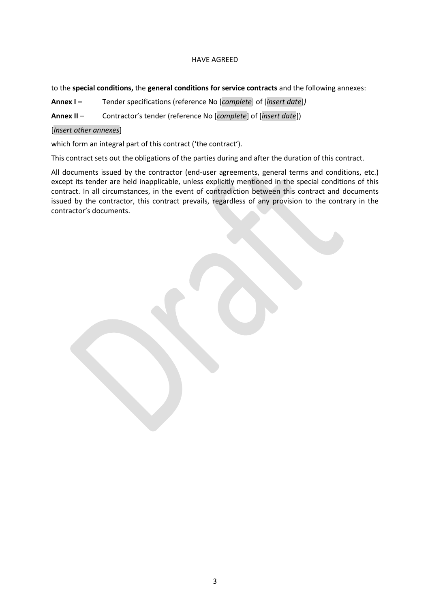## HAVE AGREED

## to the **special conditions,** the **general conditions for service contracts** and the following annexes:

**Annex I –** Tender specifications (reference No [*complete*] of [*insert date*]*)*

**Annex II** – Contractor's tender (reference No [*complete*] of [*insert date*])

## [*Insert other annexes*]

which form an integral part of this contract ('the contract').

This contract sets out the obligations of the parties during and after the duration of this contract.

All documents issued by the contractor (end-user agreements, general terms and conditions, etc.) except its tender are held inapplicable, unless explicitly mentioned in the special conditions of this contract. In all circumstances, in the event of contradiction between this contract and documents issued by the contractor, this contract prevails, regardless of any provision to the contrary in the contractor's documents.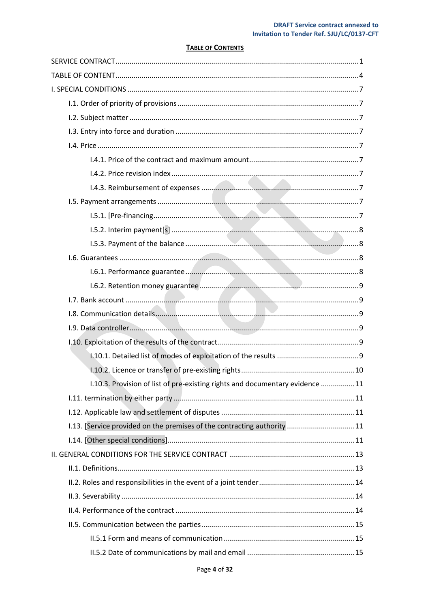## **TABLE OF CONTENTS**

<span id="page-3-0"></span>

| 1.10.3. Provision of list of pre-existing rights and documentary evidence 11 |
|------------------------------------------------------------------------------|
|                                                                              |
|                                                                              |
| 1.13. [Service provided on the premises of the contracting authority 11      |
|                                                                              |
|                                                                              |
|                                                                              |
|                                                                              |
|                                                                              |
|                                                                              |
|                                                                              |
|                                                                              |
|                                                                              |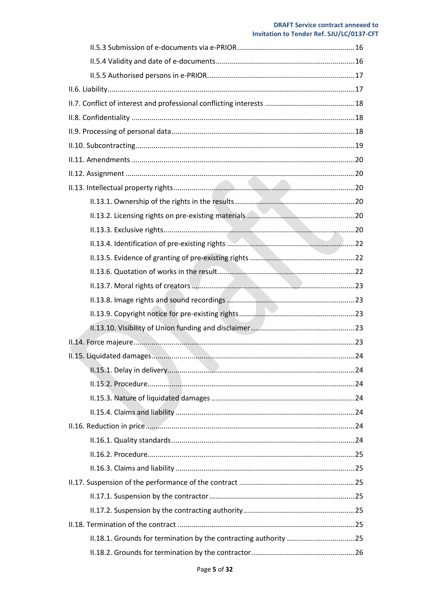## **DRAFT Service contract annexed to** Invitation to Tender Ref. SJU/LC/0137-CFT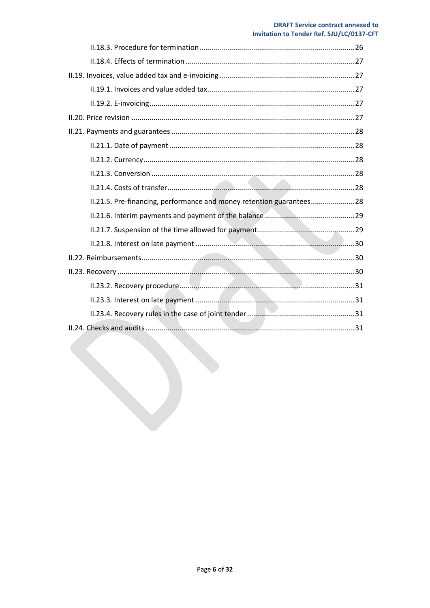## **DRAFT Service contract annexed to Invitation to Tender Ref. SJU/LC/0137-CFT**

| II.21.5. Pre-financing, performance and money retention guarantees28 |
|----------------------------------------------------------------------|
|                                                                      |
|                                                                      |
|                                                                      |
|                                                                      |
|                                                                      |
|                                                                      |
|                                                                      |
|                                                                      |
|                                                                      |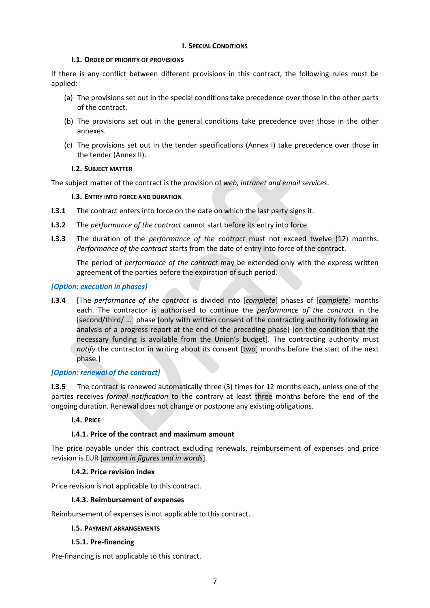## **I. SPECIAL CONDITIONS**

## <span id="page-6-0"></span>**I.1. ORDER OF PRIORITY OF PROVISIONS**

<span id="page-6-1"></span>If there is any conflict between different provisions in this contract, the following rules must be applied:

- (a) The provisions set out in the special conditions take precedence over those in the other parts of the contract.
- (b) The provisions set out in the general conditions take precedence over those in the other annexes.
- (c) The provisions set out in the tender specifications (Annex I) take precedence over those in the tender (Annex II).

## **I.2. SUBJECT MATTER**

<span id="page-6-3"></span><span id="page-6-2"></span>The subject matter of the contract is the provision of *web, intranet and email services*.

## **I.3. ENTRY INTO FORCE AND DURATION**

- **I.3.1** The contract enters into force on the date on which the last party signs it.
- **I.3.2** The *performance of the contract* cannot start before its entry into force.
- **I.3.3** The duration of the *performance of the contract* must not exceed twelve (12) months. *Performance of the contract* starts from the date of entry into force of the contract.

The period of *performance of the contract* may be extended only with the express written agreement of the parties before the expiration of such period.

## *[Option: execution in phases]*

**I.3.4** [The *performance of the contract* is divided into [*complete*] phases of [*complete*] months each. The contractor is authorised to continue the *performance of the contract* in the [second/third/ …] phase [only with written consent of the contracting authority following an analysis of a progress report at the end of the preceding phase] [on the condition that the necessary funding is available from the Union's budget]. The contracting authority must *notify* the contractor in writing about its consent [two] months before the start of the next phase.]

## *[Option: renewal of the contract]*

**I.3.5** The contract is renewed automatically three (3) times for 12 months each, unless one of the parties receives *formal notification* to the contrary at least three months before the end of the ongoing duration. Renewal does not change or postpone any existing obligations.

## <span id="page-6-4"></span>**I.4. PRICE**

## **I.4.1. Price of the contract and maximum amount**

<span id="page-6-5"></span>The price payable under this contract excluding renewals, reimbursement of expenses and price revision is EUR [*amount in figures and in words*].

## **I.4.2. Price revision index**

<span id="page-6-7"></span><span id="page-6-6"></span>Price revision is not applicable to this contract.

## **I.4.3. Reimbursement of expenses**

<span id="page-6-8"></span>Reimbursement of expenses is not applicable to this contract.

## **I.5. PAYMENT ARRANGEMENTS**

## **I.5.1. Pre-financing**

<span id="page-6-9"></span>Pre-financing is not applicable to this contract.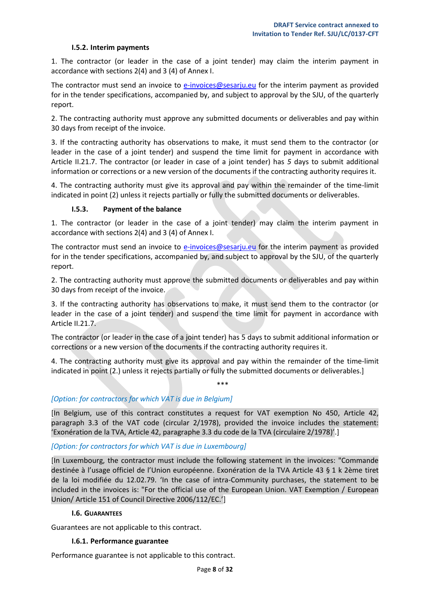#### **I.5.2. Interim payments**

<span id="page-7-0"></span>1. The contractor (or leader in the case of a joint tender) may claim the interim payment in accordance with sections 2(4) and 3 (4) of Annex I.

The contractor must send an invoice to [e-invoices@sesarju.eu](mailto:e-invoices@sesarju.eu) for the interim payment as provided for in the tender specifications, accompanied by, and subject to approval by the SJU, of the quarterly report.

2. The contracting authority must approve any submitted documents or deliverables and pay within 30 days from receipt of the invoice.

3. If the contracting authority has observations to make, it must send them to the contractor (or leader in the case of a joint tender) and suspend the time limit for payment in accordance with Article II.21.7. The contractor (or leader in case of a joint tender) has *5* days to submit additional information or corrections or a new version of the documents if the contracting authority requires it.

4. The contracting authority must give its approval and pay within the remainder of the time-limit indicated in point (2) unless it rejects partially or fully the submitted documents or deliverables.

#### <span id="page-7-1"></span>**I.5.3. Payment of the balance**

1. The contractor (or leader in the case of a joint tender) may claim the interim payment in accordance with sections 2(4) and 3 (4) of Annex I.

The contractor must send an invoice to [e-invoices@sesarju.eu](mailto:e-invoices@sesarju.eu) for the interim payment as provided for in the tender specifications, accompanied by, and subject to approval by the SJU, of the quarterly report.

2. The contracting authority must approve the submitted documents or deliverables and pay within 30 days from receipt of the invoice.

3. If the contracting authority has observations to make, it must send them to the contractor (or leader in the case of a joint tender) and suspend the time limit for payment in accordance with Article II.21.7.

The contractor (or leader in the case of a joint tender) has 5 days to submit additional information or corrections or a new version of the documents if the contracting authority requires it.

4. The contracting authority must give its approval and pay within the remainder of the time-limit indicated in point (2.) unless it rejects partially or fully the submitted documents or deliverables.]

\*\*\*

## *[Option: for contractors for which VAT is due in Belgium]*

[In Belgium, use of this contract constitutes a request for VAT exemption No 450, Article 42, paragraph 3.3 of the VAT code (circular 2/1978), provided the invoice includes the statement: 'Exonération de la TVA, Article 42, paragraphe 3.3 du code de la TVA (circulaire 2/1978)'.]

#### *[Option: for contractors for which VAT is due in Luxembourg]*

[In Luxembourg, the contractor must include the following statement in the invoices: "Commande destinée à l'usage officiel de l'Union européenne. Exonération de la TVA Article 43 § 1 k 2ème tiret de la loi modifiée du 12.02.79. 'In the case of intra-Community purchases, the statement to be included in the invoices is: "For the official use of the European Union. VAT Exemption / European Union/ Article 151 of Council Directive 2006/112/EC.']

#### **I.6. GUARANTEES**

<span id="page-7-3"></span><span id="page-7-2"></span>Guarantees are not applicable to this contract.

#### **I.6.1. Performance guarantee**

Performance guarantee is not applicable to this contract.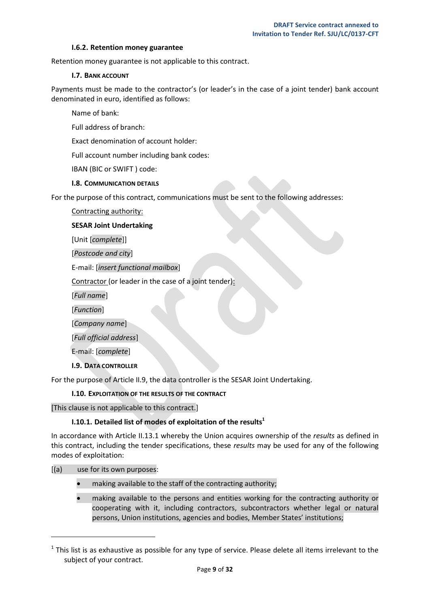#### **I.6.2. Retention money guarantee**

<span id="page-8-1"></span><span id="page-8-0"></span>Retention money guarantee is not applicable to this contract.

#### **I.7. BANK ACCOUNT**

Payments must be made to the contractor's (or leader's in the case of a joint tender) bank account denominated in euro, identified as follows:

Name of bank:

Full address of branch:

Exact denomination of account holder:

Full account number including bank codes:

IBAN (BIC or SWIFT ) code:

#### **I.8. COMMUNICATION DETAILS**

<span id="page-8-2"></span>For the purpose of this contract, communications must be sent to the following addresses:

Contracting authority:

#### **SESAR Joint Undertaking**

[Unit [*complete*]]

[*Postcode and city*]

E-mail: [*insert functional mailbox*]

Contractor (or leader in the case of a joint tender):

[*Full name*]

[*Function*]

[*Company name*]

[*Full official address*]

E-mail: [*complete*]

#### **I.9. DATA CONTROLLER**

<span id="page-8-4"></span><span id="page-8-3"></span>For the purpose of Article II.9, the data controller is the SESAR Joint Undertaking.

## **I.10. EXPLOITATION OF THE RESULTS OF THE CONTRACT**

<span id="page-8-5"></span>[This clause is not applicable to this contract.]

## **I.10.1. Detailed list of modes of exploitation of the results<sup>1</sup>**

In accordance with Article II.13.1 whereby the Union acquires ownership of the *results* as defined in this contract, including the tender specifications, these *results* may be used for any of the following modes of exploitation:

[(a) use for its own purposes:

 $\overline{\phantom{a}}$ 

- making available to the staff of the contracting authority;
- making available to the persons and entities working for the contracting authority or cooperating with it, including contractors, subcontractors whether legal or natural persons, Union institutions, agencies and bodies, Member States' institutions;

 $<sup>1</sup>$  This list is as exhaustive as possible for any type of service. Please delete all items irrelevant to the</sup> subject of your contract.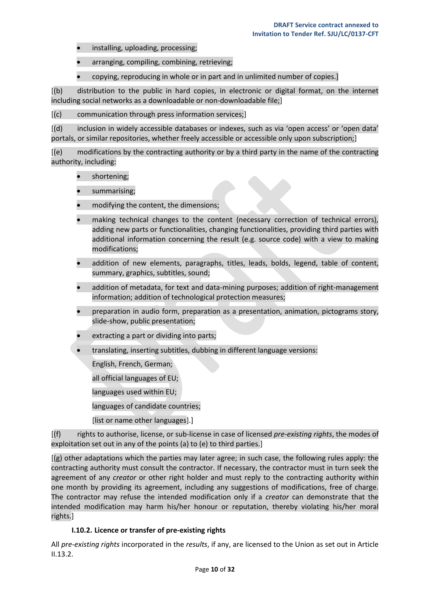- installing, uploading, processing;
- arranging, compiling, combining, retrieving;
- copying, reproducing in whole or in part and in unlimited number of copies.]

[(b) distribution to the public in hard copies, in electronic or digital format, on the internet including social networks as a downloadable or non-downloadable file;]

[(c) communication through press information services;]

[(d) inclusion in widely accessible databases or indexes, such as via 'open access' or 'open data' portals, or similar repositories, whether freely accessible or accessible only upon subscription;]

[(e) modifications by the contracting authority or by a third party in the name of the contracting authority, including:

- shortening;
- summarising;
- modifying the content, the dimensions;
- making technical changes to the content (necessary correction of technical errors), adding new parts or functionalities, changing functionalities, providing third parties with additional information concerning the result (e.g. source code) with a view to making modifications;
- addition of new elements, paragraphs, titles, leads, bolds, legend, table of content, summary, graphics, subtitles, sound;
- addition of metadata, for text and data-mining purposes; addition of right-management information; addition of technological protection measures;
- preparation in audio form, preparation as a presentation, animation, pictograms story, slide-show, public presentation;
- extracting a part or dividing into parts;
- translating, inserting subtitles, dubbing in different language versions:

English, French, German;

all official languages of EU;

languages used within EU;

languages of candidate countries;

[list or name other languages].]

[(f) rights to authorise, license, or sub-license in case of licensed *pre-existing rights*, the modes of exploitation set out in any of the points (a) to (e) to third parties.]

[(g) other adaptations which the parties may later agree; in such case, the following rules apply: the contracting authority must consult the contractor. If necessary, the contractor must in turn seek the agreement of any *creator* or other right holder and must reply to the contracting authority within one month by providing its agreement, including any suggestions of modifications, free of charge. The contractor may refuse the intended modification only if a *creator* can demonstrate that the intended modification may harm his/her honour or reputation, thereby violating his/her moral rights.]

## **I.10.2. Licence or transfer of pre-existing rights**

<span id="page-9-0"></span>All *pre-existing rights* incorporated in the *results*, if any, are licensed to the Union as set out in Article II.13.2.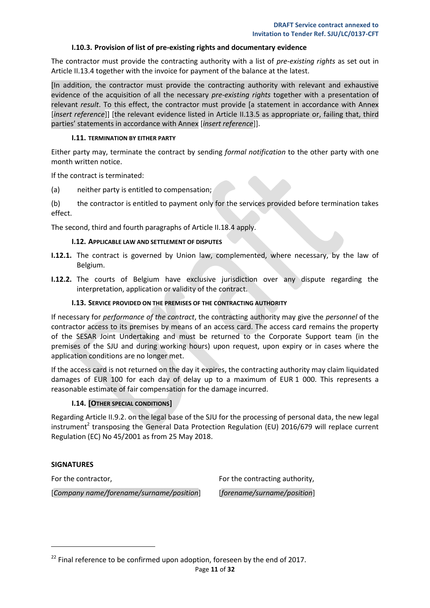#### **I.10.3. Provision of list of pre-existing rights and documentary evidence**

<span id="page-10-0"></span>The contractor must provide the contracting authority with a list of *pre-existing rights* as set out in Article II.13.4 together with the invoice for payment of the balance at the latest.

[In addition, the contractor must provide the contracting authority with relevant and exhaustive evidence of the acquisition of all the necessary *pre-existing rights* together with a presentation of relevant *result*. To this effect, the contractor must provide [a statement in accordance with Annex [*insert reference*]] [the relevant evidence listed in Article II.13.5 as appropriate or, failing that, third parties' statements in accordance with Annex [*insert reference*]].

#### **I.11. TERMINATION BY EITHER PARTY**

<span id="page-10-1"></span>Either party may, terminate the contract by sending *formal notification* to the other party with one month written notice.

If the contract is terminated:

(a) neither party is entitled to compensation;

(b) the contractor is entitled to payment only for the services provided before termination takes effect.

<span id="page-10-2"></span>The second, third and fourth paragraphs of Article II.18.4 apply.

#### **I.12. APPLICABLE LAW AND SETTLEMENT OF DISPUTES**

- **I.12.1.** The contract is governed by Union law, complemented, where necessary, by the law of Belgium.
- **I.12.2.** The courts of Belgium have exclusive jurisdiction over any dispute regarding the interpretation, application or validity of the contract.

#### **I.13. SERVICE PROVIDED ON THE PREMISES OF THE CONTRACTING AUTHORITY**

<span id="page-10-3"></span>If necessary for *performance of the contract*, the contracting authority may give the *personnel* of the contractor access to its premises by means of an access card. The access card remains the property of the SESAR Joint Undertaking and must be returned to the Corporate Support team (in the premises of the SJU and during working hours) upon request, upon expiry or in cases where the application conditions are no longer met.

If the access card is not returned on the day it expires, the contracting authority may claim liquidated damages of EUR 100 for each day of delay up to a maximum of EUR 1 000. This represents a reasonable estimate of fair compensation for the damage incurred.

#### **I.14. [OTHER SPECIAL CONDITIONS]**

<span id="page-10-4"></span>Regarding Article II.9.2. on the legal base of the SJU for the processing of personal data, the new legal instrument<sup>2</sup> transposing the General Data Protection Regulation (EU) 2016/679 will replace current Regulation (EC) No 45/2001 as from 25 May 2018.

#### **SIGNATURES**

l

For the contractor, [*Company name/forename/surname/position*] For the contracting authority, [*forename/surname/position*]

 $^{22}$  Final reference to be confirmed upon adoption, foreseen by the end of 2017.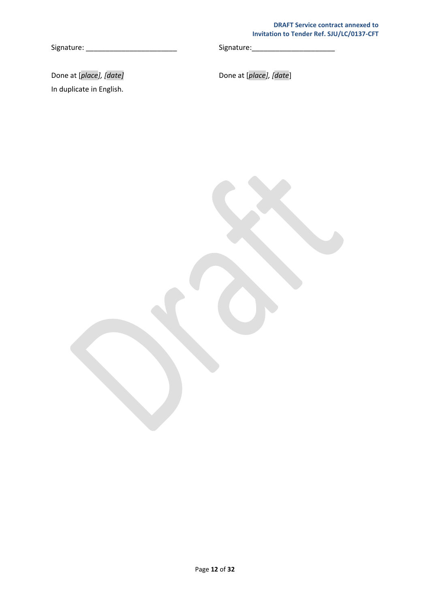### **DRAFT Service contract annexed to Invitation to Tender Ref. SJU/LC/0137-CFT**

Signature: \_\_\_\_\_\_\_\_\_\_\_\_\_\_\_\_\_\_\_\_\_\_\_ Signature:\_\_\_\_\_\_\_\_\_\_\_\_\_\_\_\_\_\_\_\_\_

Done at [*place], [date]* **Done at [***place], [date***]** In duplicate in English.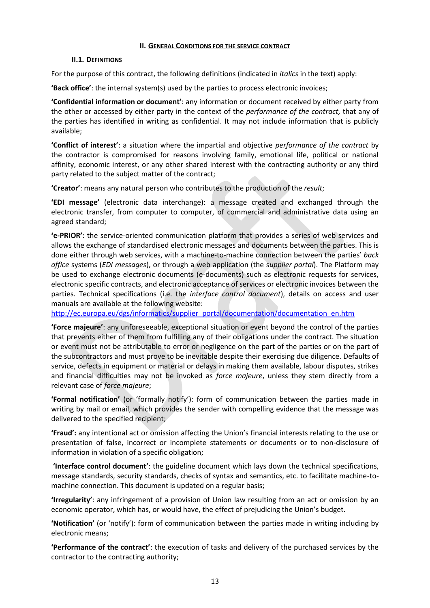## **II. GENERAL CONDITIONS FOR THE SERVICE CONTRACT**

## <span id="page-12-0"></span>**II.1. DEFINITIONS**

<span id="page-12-1"></span>For the purpose of this contract, the following definitions (indicated in *italics* in the text) apply:

**'Back office'**: the internal system(s) used by the parties to process electronic invoices;

**'Confidential information or document'**: any information or document received by either party from the other or accessed by either party in the context of the *performance of the contract,* that any of the parties has identified in writing as confidential. It may not include information that is publicly available;

**'Conflict of interest'**: a situation where the impartial and objective *performance of the contract* by the contractor is compromised for reasons involving family, emotional life, political or national affinity, economic interest, or any other shared interest with the contracting authority or any third party related to the subject matter of the contract;

**'Creator'**: means any natural person who contributes to the production of the *result*;

**'EDI message'** (electronic data interchange): a message created and exchanged through the electronic transfer, from computer to computer, of commercial and administrative data using an agreed standard;

**'e-PRIOR'**: the service-oriented communication platform that provides a series of web services and allows the exchange of standardised electronic messages and documents between the parties. This is done either through web services, with a machine-to-machine connection between the parties' *back office* systems (*EDI messages*), or through a web application (the s*upplier portal*). The Platform may be used to exchange electronic documents (e-documents) such as electronic requests for services, electronic specific contracts, and electronic acceptance of services or electronic invoices between the parties. Technical specifications (i.e. the *interface control document*), details on access and user manuals are available at the following website:

[http://ec.europa.eu/dgs/informatics/supplier\\_portal/documentation/documentation\\_en.htm](http://ec.europa.eu/dgs/informatics/supplier_portal/documentation/documentation_en.htm)

**'Force majeure'**: any unforeseeable, exceptional situation or event beyond the control of the parties that prevents either of them from fulfilling any of their obligations under the contract. The situation or event must not be attributable to error or negligence on the part of the parties or on the part of the subcontractors and must prove to be inevitable despite their exercising due diligence. Defaults of service, defects in equipment or material or delays in making them available, labour disputes, strikes and financial difficulties may not be invoked as *force majeure*, unless they stem directly from a relevant case of *force majeure*;

**'Formal notification'** (or 'formally notify'): form of communication between the parties made in writing by mail or email, which provides the sender with compelling evidence that the message was delivered to the specified recipient;

**'Fraud':** any intentional act or omission affecting the Union's financial interests relating to the use or presentation of false, incorrect or incomplete statements or documents or to non-disclosure of information in violation of a specific obligation;

**'Interface control document'**: the guideline document which lays down the technical specifications, message standards, security standards, checks of syntax and semantics, etc. to facilitate machine-tomachine connection. This document is updated on a regular basis;

**'Irregularity'**: any infringement of a provision of Union law resulting from an act or omission by an economic operator, which has, or would have, the effect of prejudicing the Union's budget.

**'Notification'** (or 'notify'): form of communication between the parties made in writing including by electronic means;

**'Performance of the contract'**: the execution of tasks and delivery of the purchased services by the contractor to the contracting authority;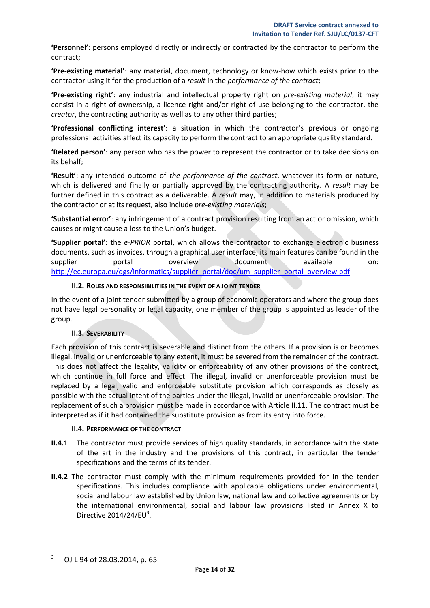**'Personnel'**: persons employed directly or indirectly or contracted by the contractor to perform the contract;

**'Pre-existing material'**: any material, document, technology or know-how which exists prior to the contractor using it for the production of a *result* in the *performance of the contract*;

**'Pre-existing right'**: any industrial and intellectual property right on *pre-existing material*; it may consist in a right of ownership, a licence right and/or right of use belonging to the contractor, the *creator*, the contracting authority as well as to any other third parties;

**'Professional conflicting interest'**: a situation in which the contractor's previous or ongoing professional activities affect its capacity to perform the contract to an appropriate quality standard.

**'Related person'**: any person who has the power to represent the contractor or to take decisions on its behalf;

**'Result'**: any intended outcome of *the performance of the contract*, whatever its form or nature, which is delivered and finally or partially approved by the contracting authority. A *result* may be further defined in this contract as a deliverable. A *result* may, in addition to materials produced by the contractor or at its request, also include *pre-existing materials*;

**'Substantial error'**: any infringement of a contract provision resulting from an act or omission, which causes or might cause a loss to the Union's budget.

**'Supplier portal'**: the *e-PRIOR* portal, which allows the contractor to exchange electronic business documents, such as invoices, through a graphical user interface; its main features can be found in the supplier **portal** overview document available on: [http://ec.europa.eu/dgs/informatics/supplier\\_portal/doc/um\\_supplier\\_portal\\_overview.pdf](http://ec.europa.eu/dgs/informatics/supplier_portal/doc/um_supplier_portal_overview.pdf)

## **II.2. ROLES AND RESPONSIBILITIES IN THE EVENT OF A JOINT TENDER**

<span id="page-13-0"></span>In the event of a joint tender submitted by a group of economic operators and where the group does not have legal personality or legal capacity, one member of the group is appointed as leader of the group.

## **II.3. SEVERABILITY**

<span id="page-13-1"></span>Each provision of this contract is severable and distinct from the others. If a provision is or becomes illegal, invalid or unenforceable to any extent, it must be severed from the remainder of the contract. This does not affect the legality, validity or enforceability of any other provisions of the contract, which continue in full force and effect. The illegal, invalid or unenforceable provision must be replaced by a legal, valid and enforceable substitute provision which corresponds as closely as possible with the actual intent of the parties under the illegal, invalid or unenforceable provision. The replacement of such a provision must be made in accordance with Article II.11. The contract must be interpreted as if it had contained the substitute provision as from its entry into force.

## **II.4. PERFORMANCE OF THE CONTRACT**

- <span id="page-13-2"></span>**II.4.1** The contractor must provide services of high quality standards, in accordance with the state of the art in the industry and the provisions of this contract, in particular the tender specifications and the terms of its tender.
- **II.4.2** The contractor must comply with the minimum requirements provided for in the tender specifications. This includes compliance with applicable obligations under environmental, social and labour law established by Union law, national law and collective agreements or by the international environmental, social and labour law provisions listed in Annex X to Directive  $2014/24$ /EU<sup>3</sup>.

 $\overline{\phantom{a}}$ 

<sup>3</sup> OJ L 94 of 28.03.2014, p. 65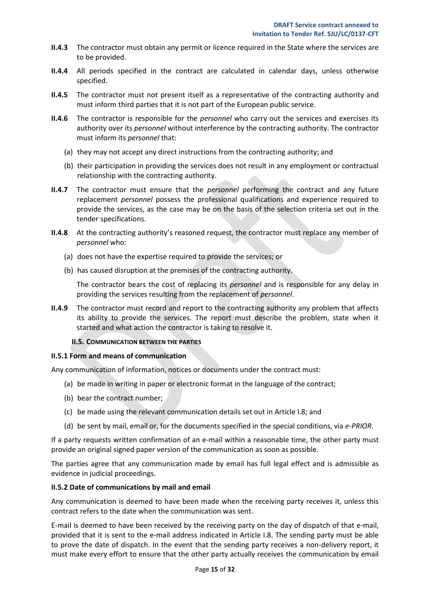- **II.4.3** The contractor must obtain any permit or licence required in the State where the services are to be provided.
- **II.4.4** All periods specified in the contract are calculated in calendar days, unless otherwise specified.
- **II.4.5** The contractor must not present itself as a representative of the contracting authority and must inform third parties that it is not part of the European public service.
- **II.4.6** The contractor is responsible for the *personnel* who carry out the services and exercises its authority over its *personnel* without interference by the contracting authority. The contractor must inform its *personnel* that:
	- (a) they may not accept any direct instructions from the contracting authority; and
	- (b) their participation in providing the services does not result in any employment or contractual relationship with the contracting authority.
- **II.4.7** The contractor must ensure that the *personnel* performing the contract and any future replacement *personnel* possess the professional qualifications and experience required to provide the services, as the case may be on the basis of the selection criteria set out in the tender specifications.
- **II.4.8** At the contracting authority's reasoned request, the contractor must replace any member of *personnel* who:
	- (a) does not have the expertise required to provide the services; or
	- (b) has caused disruption at the premises of the contracting authority.

The contractor bears the cost of replacing its *personnel* and is responsible for any delay in providing the services resulting from the replacement of *personnel*.

**II.4.9** The contractor must record and report to the contracting authority any problem that affects its ability to provide the services. The report must describe the problem, state when it started and what action the contractor is taking to resolve it.

#### **II.5. COMMUNICATION BETWEEN THE PARTIES**

#### <span id="page-14-1"></span><span id="page-14-0"></span>**II.5.1 Form and means of communication**

Any communication of information, notices or documents under the contract must:

- (a) be made in writing in paper or electronic format in the language of the contract;
- (b) bear the contract number;
- (c) be made using the relevant communication details set out in Article I.8; and
- (d) be sent by mail, email or, for the documents specified in the special conditions, via *e-PRIOR*.

If a party requests written confirmation of an e-mail within a reasonable time, the other party must provide an original signed paper version of the communication as soon as possible.

The parties agree that any communication made by email has full legal effect and is admissible as evidence in judicial proceedings.

#### <span id="page-14-2"></span>**II.5.2 Date of communications by mail and email**

Any communication is deemed to have been made when the receiving party receives it, unless this contract refers to the date when the communication was sent.

E-mail is deemed to have been received by the receiving party on the day of dispatch of that e-mail, provided that it is sent to the e-mail address indicated in Article I.8. The sending party must be able to prove the date of dispatch. In the event that the sending party receives a non-delivery report, it must make every effort to ensure that the other party actually receives the communication by email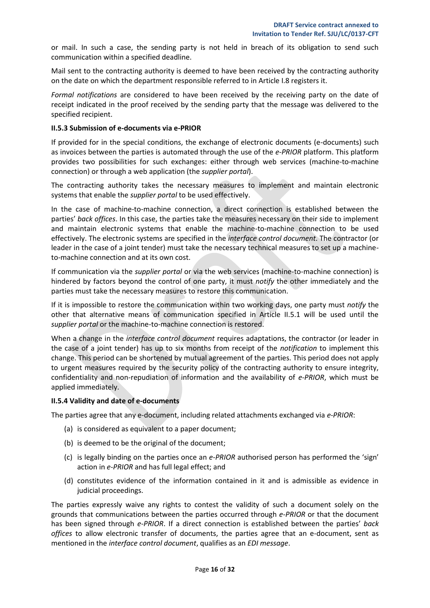or mail. In such a case, the sending party is not held in breach of its obligation to send such communication within a specified deadline.

Mail sent to the contracting authority is deemed to have been received by the contracting authority on the date on which the department responsible referred to in Article I.8 registers it.

*Formal notifications* are considered to have been received by the receiving party on the date of receipt indicated in the proof received by the sending party that the message was delivered to the specified recipient.

## <span id="page-15-0"></span>**II.5.3 Submission of e-documents via e-PRIOR**

If provided for in the special conditions, the exchange of electronic documents (e-documents) such as invoices between the parties is automated through the use of the *e-PRIOR* platform. This platform provides two possibilities for such exchanges: either through web services (machine-to-machine connection) or through a web application (the *supplier portal*).

The contracting authority takes the necessary measures to implement and maintain electronic systems that enable the *supplier portal* to be used effectively.

In the case of machine-to-machine connection, a direct connection is established between the parties' *back offices*. In this case, the parties take the measures necessary on their side to implement and maintain electronic systems that enable the machine-to-machine connection to be used effectively. The electronic systems are specified in the *interface control document*. The contractor (or leader in the case of a joint tender) must take the necessary technical measures to set up a machineto-machine connection and at its own cost.

If communication via the *supplier portal* or via the web services (machine-to-machine connection) is hindered by factors beyond the control of one party, it must *notify* the other immediately and the parties must take the necessary measures to restore this communication.

If it is impossible to restore the communication within two working days, one party must *notify* the other that alternative means of communication specified in Article II.5.1 will be used until the *supplier portal* or the machine-to-machine connection is restored.

When a change in the *interface control document* requires adaptations, the contractor (or leader in the case of a joint tender) has up to six months from receipt of the *notification* to implement this change. This period can be shortened by mutual agreement of the parties. This period does not apply to urgent measures required by the security policy of the contracting authority to ensure integrity, confidentiality and non-repudiation of information and the availability of *e-PRIOR*, which must be applied immediately.

## <span id="page-15-1"></span>**II.5.4 Validity and date of e-documents**

The parties agree that any e-document, including related attachments exchanged via *e-PRIOR*:

- (a) is considered as equivalent to a paper document;
- (b) is deemed to be the original of the document;
- (c) is legally binding on the parties once an *e-PRIOR* authorised person has performed the 'sign' action in *e-PRIOR* and has full legal effect; and
- (d) constitutes evidence of the information contained in it and is admissible as evidence in judicial proceedings.

The parties expressly waive any rights to contest the validity of such a document solely on the grounds that communications between the parties occurred through *e-PRIOR* or that the document has been signed through *e-PRIOR*. If a direct connection is established between the parties' *back offices* to allow electronic transfer of documents, the parties agree that an e-document, sent as mentioned in the *interface control document*, qualifies as an *EDI message*.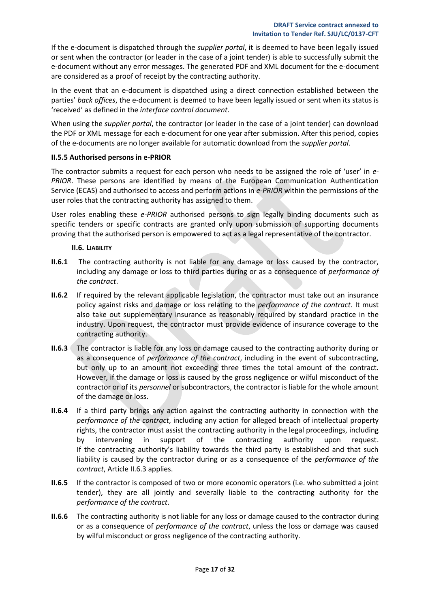If the e-document is dispatched through the *supplier portal*, it is deemed to have been legally issued or sent when the contractor (or leader in the case of a joint tender) is able to successfully submit the e-document without any error messages. The generated PDF and XML document for the e-document are considered as a proof of receipt by the contracting authority.

In the event that an e-document is dispatched using a direct connection established between the parties' *back offices*, the e-document is deemed to have been legally issued or sent when its status is 'received' as defined in the *interface control document*.

When using the *supplier portal*, the contractor (or leader in the case of a joint tender) can download the PDF or XML message for each e-document for one year after submission. After this period, copies of the e-documents are no longer available for automatic download from the *supplier portal*.

## <span id="page-16-0"></span>**II.5.5 Authorised persons in e-PRIOR**

The contractor submits a request for each person who needs to be assigned the role of 'user' in *e-PRIOR*. These persons are identified by means of the European Communication Authentication Service (ECAS) and authorised to access and perform actions in *e-PRIOR* within the permissions of the user roles that the contracting authority has assigned to them.

User roles enabling these *e-PRIOR* authorised persons to sign legally binding documents such as specific tenders or specific contracts are granted only upon submission of supporting documents proving that the authorised person is empowered to act as a legal representative of the contractor.

## **II.6. LIABILITY**

- <span id="page-16-1"></span>**II.6.1** The contracting authority is not liable for any damage or loss caused by the contractor, including any damage or loss to third parties during or as a consequence of *performance of the contract*.
- **II.6.2** If required by the relevant applicable legislation, the contractor must take out an insurance policy against risks and damage or loss relating to the *performance of the contract*. It must also take out supplementary insurance as reasonably required by standard practice in the industry. Upon request, the contractor must provide evidence of insurance coverage to the contracting authority.
- **II.6.3** The contractor is liable for any loss or damage caused to the contracting authority during or as a consequence of *performance of the contract*, including in the event of subcontracting, but only up to an amount not exceeding three times the total amount of the contract. However, if the damage or loss is caused by the gross negligence or wilful misconduct of the contractor or of its *personnel* or subcontractors, the contractor is liable for the whole amount of the damage or loss.
- **II.6.4** If a third party brings any action against the contracting authority in connection with the *performance of the contract*, including any action for alleged breach of intellectual property rights, the contractor must assist the contracting authority in the legal proceedings, including by intervening in support of the contracting authority upon request. If the contracting authority's liability towards the third party is established and that such liability is caused by the contractor during or as a consequence of the *performance of the contract*, Article II.6.3 applies.
- **II.6.5** If the contractor is composed of two or more economic operators (i.e. who submitted a joint tender), they are all jointly and severally liable to the contracting authority for the *performance of the contract*.
- **II.6.6** The contracting authority is not liable for any loss or damage caused to the contractor during or as a consequence of *performance of the contract*, unless the loss or damage was caused by wilful misconduct or gross negligence of the contracting authority.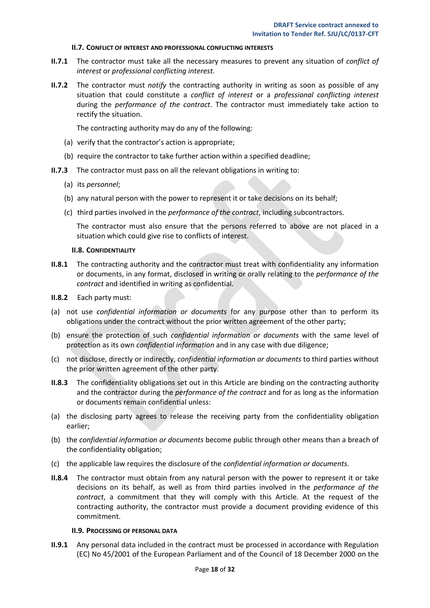#### **II.7. CONFLICT OF INTEREST AND PROFESSIONAL CONFLICTING INTERESTS**

- <span id="page-17-0"></span>**II.7.1** The contractor must take all the necessary measures to prevent any situation of *conflict of interest* or *professional conflicting interest.*
- **II.7.2** The contractor must *notify* the contracting authority in writing as soon as possible of any situation that could constitute a *conflict of interest* or a *professional conflicting interest* during the *performance of the contract*. The contractor must immediately take action to rectify the situation.

The contracting authority may do any of the following:

- (a) verify that the contractor's action is appropriate;
- (b) require the contractor to take further action within a specified deadline;
- **II.7.3** The contractor must pass on all the relevant obligations in writing to:
	- (a) its *personnel*;
	- (b) any natural person with the power to represent it or take decisions on its behalf;
	- (c) third parties involved in the *performance of the contract*, including subcontractors.

The contractor must also ensure that the persons referred to above are not placed in a situation which could give rise to conflicts of interest.

#### **II.8. CONFIDENTIALITY**

- <span id="page-17-1"></span>**II.8.1** The contracting authority and the contractor must treat with confidentiality any information or documents, in any format, disclosed in writing or orally relating to the *performance of the contract* and identified in writing as confidential.
- **II.8.2** Each party must:
- (a) not use *confidential information or documents* for any purpose other than to perform its obligations under the contract without the prior written agreement of the other party;
- (b) ensure the protection of such *confidential information or documents* with the same level of protection as its own *confidential information* and in any case with due diligence;
- (c) not disclose, directly or indirectly, *confidential information or documents* to third parties without the prior written agreement of the other party.
- **II.8.3** The confidentiality obligations set out in this Article are binding on the contracting authority and the contractor during the *performance of the contract* and for as long as the information or documents remain confidential unless:
- (a) the disclosing party agrees to release the receiving party from the confidentiality obligation earlier;
- (b) the *confidential information or documents* become public through other means than a breach of the confidentiality obligation;
- (c) the applicable law requires the disclosure of the *confidential information or documents*.
- **II.8.4** The contractor must obtain from any natural person with the power to represent it or take decisions on its behalf, as well as from third parties involved in the *performance of the contract*, a commitment that they will comply with this Article. At the request of the contracting authority, the contractor must provide a document providing evidence of this commitment.

#### **II.9. PROCESSING OF PERSONAL DATA**

<span id="page-17-2"></span>**II.9.1** Any personal data included in the contract must be processed in accordance with Regulation (EC) No 45/2001 of the European Parliament and of the Council of 18 December 2000 on the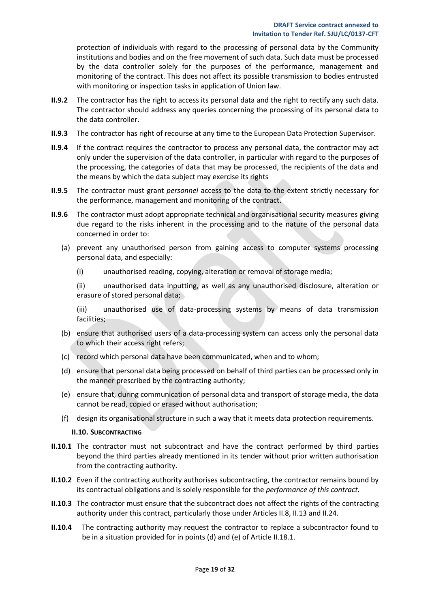protection of individuals with regard to the processing of personal data by the Community institutions and bodies and on the free movement of such data. Such data must be processed by the data controller solely for the purposes of the performance, management and monitoring of the contract. This does not affect its possible transmission to bodies entrusted with monitoring or inspection tasks in application of Union law.

- **II.9.2** The contractor has the right to access its personal data and the right to rectify any such data. The contractor should address any queries concerning the processing of its personal data to the data controller.
- **II.9.3** The contractor has right of recourse at any time to the European Data Protection Supervisor.
- **II.9.4** If the contract requires the contractor to process any personal data, the contractor may act only under the supervision of the data controller, in particular with regard to the purposes of the processing, the categories of data that may be processed, the recipients of the data and the means by which the data subject may exercise its rights
- **II.9.5** The contractor must grant *personnel* access to the data to the extent strictly necessary for the performance, management and monitoring of the contract.
- **II.9.6** The contractor must adopt appropriate technical and organisational security measures giving due regard to the risks inherent in the processing and to the nature of the personal data concerned in order to:
	- (a) prevent any unauthorised person from gaining access to computer systems processing personal data, and especially:
		- (i) unauthorised reading, copying, alteration or removal of storage media;

(ii) unauthorised data inputting, as well as any unauthorised disclosure, alteration or erasure of stored personal data;

(iii) unauthorised use of data-processing systems by means of data transmission facilities;

- (b) ensure that authorised users of a data-processing system can access only the personal data to which their access right refers;
- (c) record which personal data have been communicated, when and to whom;
- (d) ensure that personal data being processed on behalf of third parties can be processed only in the manner prescribed by the contracting authority;
- (e) ensure that, during communication of personal data and transport of storage media, the data cannot be read, copied or erased without authorisation;
- (f) design its organisational structure in such a way that it meets data protection requirements.

## **II.10. SUBCONTRACTING**

- <span id="page-18-0"></span>**II.10.1** The contractor must not subcontract and have the contract performed by third parties beyond the third parties already mentioned in its tender without prior written authorisation from the contracting authority.
- **II.10.2** Even if the contracting authority authorises subcontracting, the contractor remains bound by its contractual obligations and is solely responsible for the *performance of this contract*.
- **II.10.3** The contractor must ensure that the subcontract does not affect the rights of the contracting authority under this contract, particularly those under Articles II.8, II.13 and II.24.
- **II.10.4** The contracting authority may request the contractor to replace a subcontractor found to be in a situation provided for in points (d) and (e) of Article II.18.1.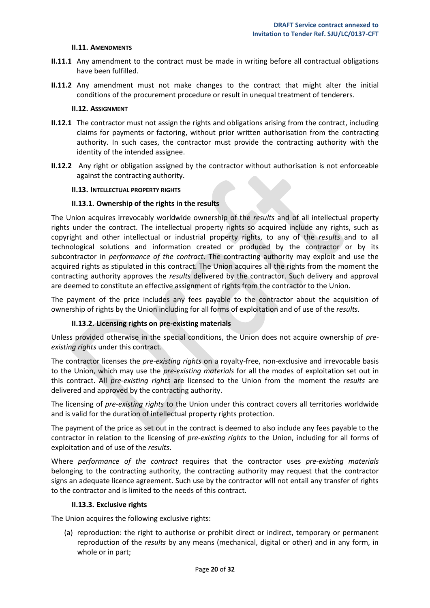#### **II.11. AMENDMENTS**

- <span id="page-19-0"></span>**II.11.1** Any amendment to the contract must be made in writing before all contractual obligations have been fulfilled.
- **II.11.2** Any amendment must not make changes to the contract that might alter the initial conditions of the procurement procedure or result in unequal treatment of tenderers.

#### **II.12. ASSIGNMENT**

- <span id="page-19-1"></span>**II.12.1** The contractor must not assign the rights and obligations arising from the contract, including claims for payments or factoring, without prior written authorisation from the contracting authority. In such cases, the contractor must provide the contracting authority with the identity of the intended assignee.
- **II.12.2** Any right or obligation assigned by the contractor without authorisation is not enforceable against the contracting authority.

#### <span id="page-19-2"></span>**II.13. INTELLECTUAL PROPERTY RIGHTS**

#### **II.13.1. Ownership of the rights in the results**

<span id="page-19-3"></span>The Union acquires irrevocably worldwide ownership of the *results* and of all intellectual property rights under the contract. The intellectual property rights so acquired include any rights, such as copyright and other intellectual or industrial property rights, to any of the *results* and to all technological solutions and information created or produced by the contractor or by its subcontractor in *performance of the contract*. The contracting authority may exploit and use the acquired rights as stipulated in this contract. The Union acquires all the rights from the moment the contracting authority approves the *results* delivered by the contractor. Such delivery and approval are deemed to constitute an effective assignment of rights from the contractor to the Union.

The payment of the price includes any fees payable to the contractor about the acquisition of ownership of rights by the Union including for all forms of exploitation and of use of the *results*.

#### **II.13.2. Licensing rights on pre-existing materials**

<span id="page-19-4"></span>Unless provided otherwise in the special conditions, the Union does not acquire ownership of *preexisting rights* under this contract.

The contractor licenses the *pre-existing rights* on a royalty-free, non-exclusive and irrevocable basis to the Union, which may use the *pre-existing materials* for all the modes of exploitation set out in this contract. All *pre-existing rights* are licensed to the Union from the moment the *results* are delivered and approved by the contracting authority.

The licensing of *pre-existing rights* to the Union under this contract covers all territories worldwide and is valid for the duration of intellectual property rights protection.

The payment of the price as set out in the contract is deemed to also include any fees payable to the contractor in relation to the licensing of *pre-existing rights* to the Union, including for all forms of exploitation and of use of the *results*.

Where *performance of the contract* requires that the contractor uses *pre-existing materials* belonging to the contracting authority, the contracting authority may request that the contractor signs an adequate licence agreement. Such use by the contractor will not entail any transfer of rights to the contractor and is limited to the needs of this contract.

#### **II.13.3. Exclusive rights**

<span id="page-19-5"></span>The Union acquires the following exclusive rights:

(a) reproduction: the right to authorise or prohibit direct or indirect, temporary or permanent reproduction of the *results* by any means (mechanical, digital or other) and in any form, in whole or in part;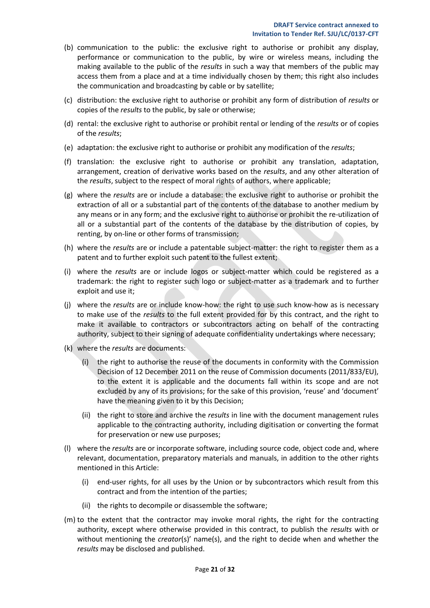- (b) communication to the public: the exclusive right to authorise or prohibit any display, performance or communication to the public, by wire or wireless means, including the making available to the public of the *results* in such a way that members of the public may access them from a place and at a time individually chosen by them; this right also includes the communication and broadcasting by cable or by satellite;
- (c) distribution: the exclusive right to authorise or prohibit any form of distribution of *results* or copies of the *results* to the public, by sale or otherwise;
- (d) rental: the exclusive right to authorise or prohibit rental or lending of the *results* or of copies of the *results*;
- (e) adaptation: the exclusive right to authorise or prohibit any modification of the *results*;
- (f) translation: the exclusive right to authorise or prohibit any translation, adaptation, arrangement, creation of derivative works based on the *results*, and any other alteration of the *results*, subject to the respect of moral rights of authors, where applicable;
- (g) where the *results* are or include a database: the exclusive right to authorise or prohibit the extraction of all or a substantial part of the contents of the database to another medium by any means or in any form; and the exclusive right to authorise or prohibit the re-utilization of all or a substantial part of the contents of the database by the distribution of copies, by renting, by on-line or other forms of transmission;
- (h) where the *results* are or include a patentable subject-matter: the right to register them as a patent and to further exploit such patent to the fullest extent;
- (i) where the *results* are or include logos or subject-matter which could be registered as a trademark: the right to register such logo or subject-matter as a trademark and to further exploit and use it;
- (j) where the *results* are or include know-how: the right to use such know-how as is necessary to make use of the *results* to the full extent provided for by this contract, and the right to make it available to contractors or subcontractors acting on behalf of the contracting authority, subject to their signing of adequate confidentiality undertakings where necessary;
- (k) where the *results* are documents:
	- (i) the right to authorise the reuse of the documents in conformity with the Commission Decision of 12 December 2011 on the reuse of Commission documents (2011/833/EU), to the extent it is applicable and the documents fall within its scope and are not excluded by any of its provisions; for the sake of this provision, 'reuse' and 'document' have the meaning given to it by this Decision;
	- (ii) the right to store and archive the *results* in line with the document management rules applicable to the contracting authority, including digitisation or converting the format for preservation or new use purposes;
- (l) where the *results* are or incorporate software, including source code, object code and, where relevant, documentation, preparatory materials and manuals, in addition to the other rights mentioned in this Article:
	- (i) end-user rights, for all uses by the Union or by subcontractors which result from this contract and from the intention of the parties;
	- (ii) the rights to decompile or disassemble the software;
- (m) to the extent that the contractor may invoke moral rights, the right for the contracting authority, except where otherwise provided in this contract, to publish the *results* with or without mentioning the *creator*(s)' name(s), and the right to decide when and whether the *results* may be disclosed and published.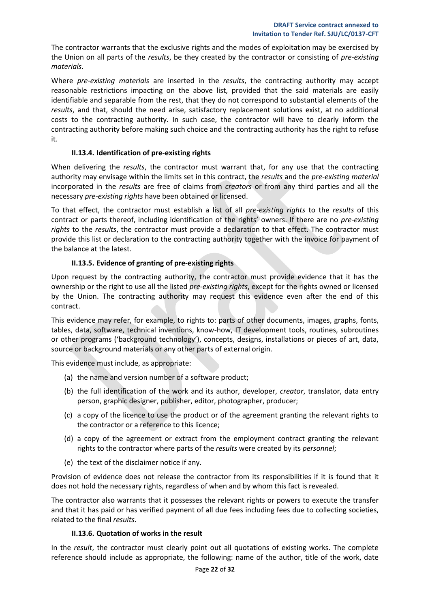The contractor warrants that the exclusive rights and the modes of exploitation may be exercised by the Union on all parts of the *results*, be they created by the contractor or consisting of *pre-existing materials*.

Where *pre-existing materials* are inserted in the *results*, the contracting authority may accept reasonable restrictions impacting on the above list, provided that the said materials are easily identifiable and separable from the rest, that they do not correspond to substantial elements of the *results*, and that, should the need arise, satisfactory replacement solutions exist, at no additional costs to the contracting authority. In such case, the contractor will have to clearly inform the contracting authority before making such choice and the contracting authority has the right to refuse it.

## **II.13.4. Identification of pre-existing rights**

<span id="page-21-0"></span>When delivering the *results*, the contractor must warrant that, for any use that the contracting authority may envisage within the limits set in this contract, the *results* and the *pre-existing material* incorporated in the *results* are free of claims from *creators* or from any third parties and all the necessary *pre-existing rights* have been obtained or licensed.

To that effect, the contractor must establish a list of all *pre-existing rights* to the *results* of this contract or parts thereof, including identification of the rights' owners. If there are no *pre-existing rights* to the *results*, the contractor must provide a declaration to that effect. The contractor must provide this list or declaration to the contracting authority together with the invoice for payment of the balance at the latest.

## **II.13.5. Evidence of granting of pre-existing rights**

<span id="page-21-1"></span>Upon request by the contracting authority, the contractor must provide evidence that it has the ownership or the right to use all the listed *pre-existing rights*, except for the rights owned or licensed by the Union. The contracting authority may request this evidence even after the end of this contract.

This evidence may refer, for example, to rights to: parts of other documents, images, graphs, fonts, tables, data, software, technical inventions, know-how, IT development tools, routines, subroutines or other programs ('background technology'), concepts, designs, installations or pieces of art, data, source or background materials or any other parts of external origin.

This evidence must include, as appropriate:

- (a) the name and version number of a software product;
- (b) the full identification of the work and its author, developer, *creator*, translator, data entry person, graphic designer, publisher, editor, photographer, producer;
- (c) a copy of the licence to use the product or of the agreement granting the relevant rights to the contractor or a reference to this licence;
- (d) a copy of the agreement or extract from the employment contract granting the relevant rights to the contractor where parts of the *results* were created by its *personnel*;
- (e) the text of the disclaimer notice if any.

Provision of evidence does not release the contractor from its responsibilities if it is found that it does not hold the necessary rights, regardless of when and by whom this fact is revealed.

The contractor also warrants that it possesses the relevant rights or powers to execute the transfer and that it has paid or has verified payment of all due fees including fees due to collecting societies, related to the final *results*.

## **II.13.6. Quotation of works in the result**

<span id="page-21-2"></span>In the *result*, the contractor must clearly point out all quotations of existing works. The complete reference should include as appropriate, the following: name of the author, title of the work, date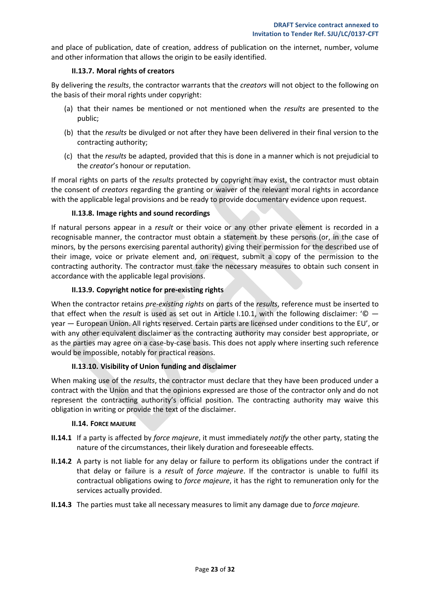and place of publication, date of creation, address of publication on the internet, number, volume and other information that allows the origin to be easily identified.

## **II.13.7. Moral rights of creators**

<span id="page-22-0"></span>By delivering the *results*, the contractor warrants that the *creators* will not object to the following on the basis of their moral rights under copyright:

- (a) that their names be mentioned or not mentioned when the *results* are presented to the public;
- (b) that the *results* be divulged or not after they have been delivered in their final version to the contracting authority;
- (c) that the *results* be adapted, provided that this is done in a manner which is not prejudicial to the *creator*'s honour or reputation.

If moral rights on parts of the *results* protected by copyright may exist, the contractor must obtain the consent of *creators* regarding the granting or waiver of the relevant moral rights in accordance with the applicable legal provisions and be ready to provide documentary evidence upon request.

## **II.13.8. Image rights and sound recordings**

<span id="page-22-1"></span>If natural persons appear in a *result* or their voice or any other private element is recorded in a recognisable manner, the contractor must obtain a statement by these persons (or, in the case of minors, by the persons exercising parental authority) giving their permission for the described use of their image, voice or private element and, on request, submit a copy of the permission to the contracting authority. The contractor must take the necessary measures to obtain such consent in accordance with the applicable legal provisions.

## **II.13.9. Copyright notice for pre-existing rights**

<span id="page-22-2"></span>When the contractor retains *pre-existing rights* on parts of the *results*, reference must be inserted to that effect when the *result* is used as set out in Article I.10.1, with the following disclaimer: '© year — European Union. All rights reserved. Certain parts are licensed under conditions to the EU', or with any other equivalent disclaimer as the contracting authority may consider best appropriate, or as the parties may agree on a case-by-case basis. This does not apply where inserting such reference would be impossible, notably for practical reasons.

## **II.13.10. Visibility of Union funding and disclaimer**

<span id="page-22-3"></span>When making use of the *results*, the contractor must declare that they have been produced under a contract with the Union and that the opinions expressed are those of the contractor only and do not represent the contracting authority's official position. The contracting authority may waive this obligation in writing or provide the text of the disclaimer.

## **II.14. FORCE MAJEURE**

- <span id="page-22-4"></span>**II.14.1** If a party is affected by *force majeure*, it must immediately *notify* the other party, stating the nature of the circumstances, their likely duration and foreseeable effects.
- **II.14.2** A party is not liable for any delay or failure to perform its obligations under the contract if that delay or failure is a *result* of *force majeure*. If the contractor is unable to fulfil its contractual obligations owing to *force majeure*, it has the right to remuneration only for the services actually provided.
- **II.14.3** The parties must take all necessary measures to limit any damage due to *force majeure.*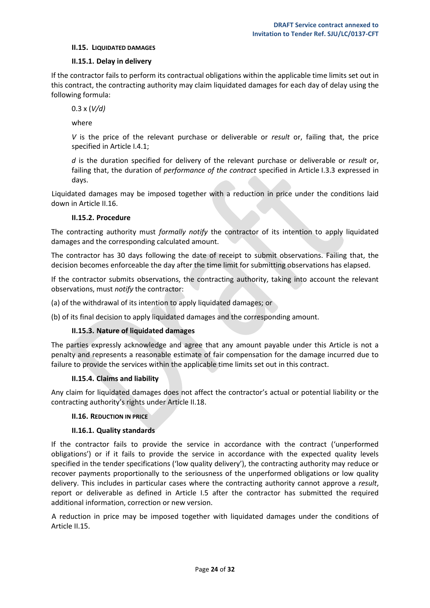#### <span id="page-23-0"></span>**II.15. LIQUIDATED DAMAGES**

## **II.15.1. Delay in delivery**

<span id="page-23-1"></span>If the contractor fails to perform its contractual obligations within the applicable time limits set out in this contract, the contracting authority may claim liquidated damages for each day of delay using the following formula:

0.3 x (*V/d)*

where

*V* is the price of the relevant purchase or deliverable or *result* or, failing that, the price specified in Article I.4.1;

*d* is the duration specified for delivery of the relevant purchase or deliverable or *result* or, failing that, the duration of *performance of the contract* specified in Article I.3.3 expressed in days.

Liquidated damages may be imposed together with a reduction in price under the conditions laid down in Article II.16.

## **II.15.2. Procedure**

<span id="page-23-2"></span>The contracting authority must *formally notify* the contractor of its intention to apply liquidated damages and the corresponding calculated amount.

The contractor has 30 days following the date of receipt to submit observations. Failing that, the decision becomes enforceable the day after the time limit for submitting observations has elapsed.

If the contractor submits observations, the contracting authority, taking into account the relevant observations, must *notify* the contractor:

(a) of the withdrawal of its intention to apply liquidated damages; or

<span id="page-23-3"></span>(b) of its final decision to apply liquidated damages and the corresponding amount.

## **II.15.3. Nature of liquidated damages**

The parties expressly acknowledge and agree that any amount payable under this Article is not a penalty and represents a reasonable estimate of fair compensation for the damage incurred due to failure to provide the services within the applicable time limits set out in this contract.

## **II.15.4. Claims and liability**

<span id="page-23-4"></span>Any claim for liquidated damages does not affect the contractor's actual or potential liability or the contracting authority's rights under Article II.18.

## <span id="page-23-5"></span>**II.16. REDUCTION IN PRICE**

## **II.16.1. Quality standards**

<span id="page-23-6"></span>If the contractor fails to provide the service in accordance with the contract ('unperformed obligations') or if it fails to provide the service in accordance with the expected quality levels specified in the tender specifications ('low quality delivery'), the contracting authority may reduce or recover payments proportionally to the seriousness of the unperformed obligations or low quality delivery. This includes in particular cases where the contracting authority cannot approve a *result*, report or deliverable as defined in Article I.5 after the contractor has submitted the required additional information, correction or new version.

A reduction in price may be imposed together with liquidated damages under the conditions of Article II.15.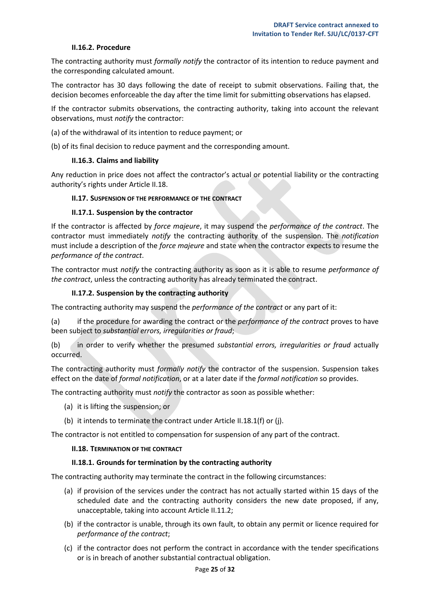#### **II.16.2. Procedure**

<span id="page-24-0"></span>The contracting authority must *formally notify* the contractor of its intention to reduce payment and the corresponding calculated amount.

The contractor has 30 days following the date of receipt to submit observations. Failing that, the decision becomes enforceable the day after the time limit for submitting observations has elapsed.

If the contractor submits observations, the contracting authority, taking into account the relevant observations, must *notify* the contractor:

- (a) of the withdrawal of its intention to reduce payment; or
- <span id="page-24-1"></span>(b) of its final decision to reduce payment and the corresponding amount.

#### **II.16.3. Claims and liability**

Any reduction in price does not affect the contractor's actual or potential liability or the contracting authority's rights under Article II.18.

#### <span id="page-24-2"></span>**II.17. SUSPENSION OF THE PERFORMANCE OF THE CONTRACT**

#### **II.17.1. Suspension by the contractor**

<span id="page-24-3"></span>If the contractor is affected by *force majeure*, it may suspend the *performance of the contract*. The contractor must immediately *notify* the contracting authority of the suspension. The *notification* must include a description of the *force majeure* and state when the contractor expects to resume the *performance of the contract*.

The contractor must *notify* the contracting authority as soon as it is able to resume *performance of the contract*, unless the contracting authority has already terminated the contract.

#### **II.17.2. Suspension by the contracting authority**

<span id="page-24-4"></span>The contracting authority may suspend the *performance of the contract* or any part of it:

(a) if the procedure for awarding the contract or the *performance of the contract* proves to have been subject to *substantial errors, irregularities or fraud*;

(b) in order to verify whether the presumed *substantial errors, irregularities or fraud* actually occurred.

The contracting authority must *formally notify* the contractor of the suspension. Suspension takes effect on the date of *formal notification*, or at a later date if the *formal notification* so provides.

The contracting authority must *notify* the contractor as soon as possible whether:

- (a) it is lifting the suspension; or
- (b) it intends to terminate the contract under Article II.18.1(f) or (j).

<span id="page-24-5"></span>The contractor is not entitled to compensation for suspension of any part of the contract.

#### **II.18. TERMINATION OF THE CONTRACT**

#### **II.18.1. Grounds for termination by the contracting authority**

<span id="page-24-6"></span>The contracting authority may terminate the contract in the following circumstances:

- (a) if provision of the services under the contract has not actually started within 15 days of the scheduled date and the contracting authority considers the new date proposed, if any, unacceptable, taking into account Article II.11.2;
- (b) if the contractor is unable, through its own fault, to obtain any permit or licence required for *performance of the contract*;
- (c) if the contractor does not perform the contract in accordance with the tender specifications or is in breach of another substantial contractual obligation.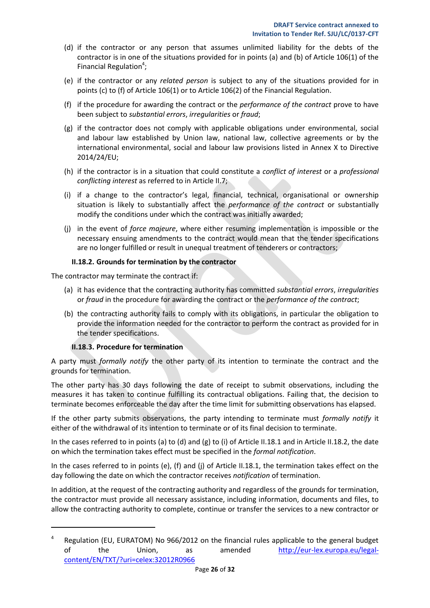- (d) if the contractor or any person that assumes unlimited liability for the debts of the contractor is in one of the situations provided for in points (a) and (b) of Article 106(1) of the Financial Regulation<sup>4</sup>;
- (e) if the contractor or any *related person* is subject to any of the situations provided for in points (c) to (f) of Article 106(1) or to Article 106(2) of the Financial Regulation.
- (f) if the procedure for awarding the contract or the *performance of the contract* prove to have been subject to *substantial errors*, *irregularities* or *fraud*;
- (g) if the contractor does not comply with applicable obligations under environmental, social and labour law established by Union law, national law, collective agreements or by the international environmental, social and labour law provisions listed in Annex X to Directive 2014/24/EU;
- (h) if the contractor is in a situation that could constitute a *conflict of interest* or a *professional conflicting interest* as referred to in Article II.7;
- (i) if a change to the contractor's legal, financial, technical, organisational or ownership situation is likely to substantially affect the *performance of the contract* or substantially modify the conditions under which the contract was initially awarded;
- (j) in the event of *force majeure*, where either resuming implementation is impossible or the necessary ensuing amendments to the contract would mean that the tender specifications are no longer fulfilled or result in unequal treatment of tenderers or contractors;

## **II.18.2. Grounds for termination by the contractor**

<span id="page-25-0"></span>The contractor may terminate the contract if:

- (a) it has evidence that the contracting authority has committed *substantial errors*, *irregularities* or *fraud* in the procedure for awarding the contract or the *performance of the contract*;
- (b) the contracting authority fails to comply with its obligations, in particular the obligation to provide the information needed for the contractor to perform the contract as provided for in the tender specifications.

## **II.18.3. Procedure for termination**

 $\overline{\phantom{a}}$ 

<span id="page-25-1"></span>A party must *formally notify* the other party of its intention to terminate the contract and the grounds for termination.

The other party has 30 days following the date of receipt to submit observations, including the measures it has taken to continue fulfilling its contractual obligations. Failing that, the decision to terminate becomes enforceable the day after the time limit for submitting observations has elapsed.

If the other party submits observations, the party intending to terminate must *formally notify* it either of the withdrawal of its intention to terminate or of its final decision to terminate.

In the cases referred to in points (a) to (d) and (g) to (i) of Article II.18.1 and in Article II.18.2, the date on which the termination takes effect must be specified in the *formal notification*.

In the cases referred to in points (e), (f) and (j) of Article II.18.1, the termination takes effect on the day following the date on which the contractor receives *notification* of termination.

In addition, at the request of the contracting authority and regardless of the grounds for termination, the contractor must provide all necessary assistance, including information, documents and files, to allow the contracting authority to complete, continue or transfer the services to a new contractor or

<sup>4</sup> Regulation (EU, EURATOM) No 966/2012 on the financial rules applicable to the general budget of the Union, as amended [http://eur-lex.europa.eu/legal](http://eur-lex.europa.eu/legal-content/EN/TXT/?uri=celex:32012R0966)[content/EN/TXT/?uri=celex:32012R0966](http://eur-lex.europa.eu/legal-content/EN/TXT/?uri=celex:32012R0966)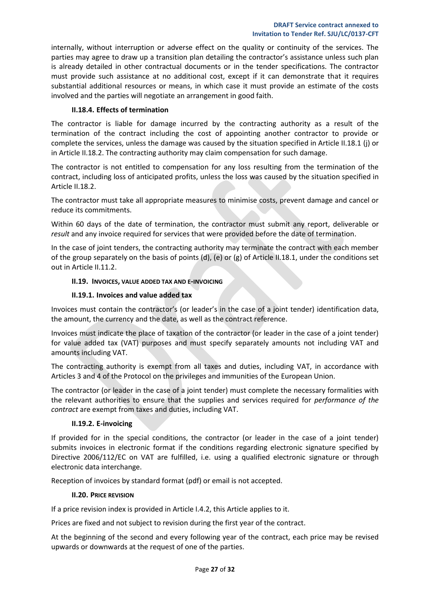internally, without interruption or adverse effect on the quality or continuity of the services. The parties may agree to draw up a transition plan detailing the contractor's assistance unless such plan is already detailed in other contractual documents or in the tender specifications. The contractor must provide such assistance at no additional cost, except if it can demonstrate that it requires substantial additional resources or means, in which case it must provide an estimate of the costs involved and the parties will negotiate an arrangement in good faith.

## **II.18.4. Effects of termination**

<span id="page-26-0"></span>The contractor is liable for damage incurred by the contracting authority as a result of the termination of the contract including the cost of appointing another contractor to provide or complete the services, unless the damage was caused by the situation specified in Article II.18.1 (j) or in Article II.18.2. The contracting authority may claim compensation for such damage.

The contractor is not entitled to compensation for any loss resulting from the termination of the contract, including loss of anticipated profits, unless the loss was caused by the situation specified in Article II.18.2.

The contractor must take all appropriate measures to minimise costs, prevent damage and cancel or reduce its commitments.

Within 60 days of the date of termination, the contractor must submit any report, deliverable or *result* and any invoice required for services that were provided before the date of termination.

In the case of joint tenders, the contracting authority may terminate the contract with each member of the group separately on the basis of points (d), (e) or (g) of Article II.18.1, under the conditions set out in Article II.11.2.

## <span id="page-26-1"></span>**II.19. INVOICES, VALUE ADDED TAX AND E-INVOICING**

## **II.19.1. Invoices and value added tax**

<span id="page-26-2"></span>Invoices must contain the contractor's (or leader's in the case of a joint tender) identification data, the amount, the currency and the date, as well as the contract reference.

Invoices must indicate the place of taxation of the contractor (or leader in the case of a joint tender) for value added tax (VAT) purposes and must specify separately amounts not including VAT and amounts including VAT.

The contracting authority is exempt from all taxes and duties, including VAT, in accordance with Articles 3 and 4 of the Protocol on the privileges and immunities of the European Union.

The contractor (or leader in the case of a joint tender) must complete the necessary formalities with the relevant authorities to ensure that the supplies and services required for *performance of the contract* are exempt from taxes and duties, including VAT.

## **II.19.2. E-invoicing**

<span id="page-26-3"></span>If provided for in the special conditions, the contractor (or leader in the case of a joint tender) submits invoices in electronic format if the conditions regarding electronic signature specified by Directive 2006/112/EC on VAT are fulfilled, i.e. using a qualified electronic signature or through electronic data interchange.

<span id="page-26-4"></span>Reception of invoices by standard format (pdf) or email is not accepted.

#### **II.20. PRICE REVISION**

If a price revision index is provided in Article I.4.2, this Article applies to it.

Prices are fixed and not subject to revision during the first year of the contract.

At the beginning of the second and every following year of the contract, each price may be revised upwards or downwards at the request of one of the parties.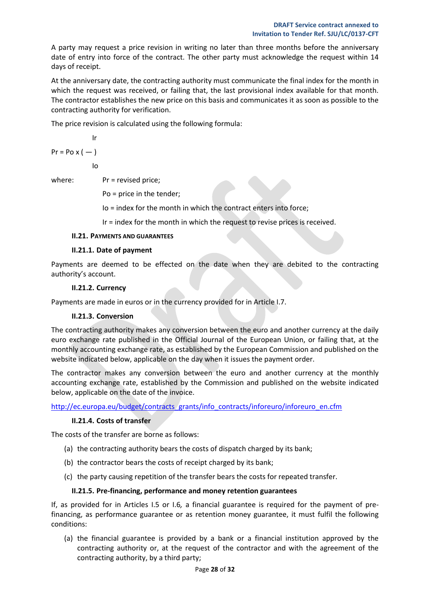A party may request a price revision in writing no later than three months before the anniversary date of entry into force of the contract. The other party must acknowledge the request within 14 days of receipt.

At the anniversary date, the contracting authority must communicate the final index for the month in which the request was received, or failing that, the last provisional index available for that month. The contractor establishes the new price on this basis and communicates it as soon as possible to the contracting authority for verification.

The price revision is calculated using the following formula:

$$
\text{lr}^-
$$

$$
Pr = Po \times (-)
$$

Io

where:  $Pr = \text{revised price}$ 

Po = price in the tender;

Io = index for the month in which the contract enters into force;

Ir = index for the month in which the request to revise prices is received.

## <span id="page-27-0"></span>**II.21. PAYMENTS AND GUARANTEES**

## **II.21.1. Date of payment**

<span id="page-27-1"></span>Payments are deemed to be effected on the date when they are debited to the contracting authority's account.

## **II.21.2. Currency**

<span id="page-27-3"></span><span id="page-27-2"></span>Payments are made in euros or in the currency provided for in Article I.7.

## **II.21.3. Conversion**

The contracting authority makes any conversion between the euro and another currency at the daily euro exchange rate published in the Official Journal of the European Union, or failing that, at the monthly accounting exchange rate, as established by the European Commission and published on the website indicated below, applicable on the day when it issues the payment order.

The contractor makes any conversion between the euro and another currency at the monthly accounting exchange rate, established by the Commission and published on the website indicated below, applicable on the date of the invoice.

<span id="page-27-4"></span>[http://ec.europa.eu/budget/contracts\\_grants/info\\_contracts/inforeuro/inforeuro\\_en.cfm](http://ec.europa.eu/budget/contracts_grants/info_contracts/inforeuro/inforeuro_en.cfm)

## **II.21.4. Costs of transfer**

The costs of the transfer are borne as follows:

- (a) the contracting authority bears the costs of dispatch charged by its bank;
- (b) the contractor bears the costs of receipt charged by its bank;
- (c) the party causing repetition of the transfer bears the costs for repeated transfer.

## **II.21.5. Pre-financing, performance and money retention guarantees**

<span id="page-27-5"></span>If, as provided for in Articles I.5 or I.6*,* a financial guarantee is required for the payment of prefinancing, as performance guarantee or as retention money guarantee, it must fulfil the following conditions:

(a) the financial guarantee is provided by a bank or a financial institution approved by the contracting authority or, at the request of the contractor and with the agreement of the contracting authority, by a third party;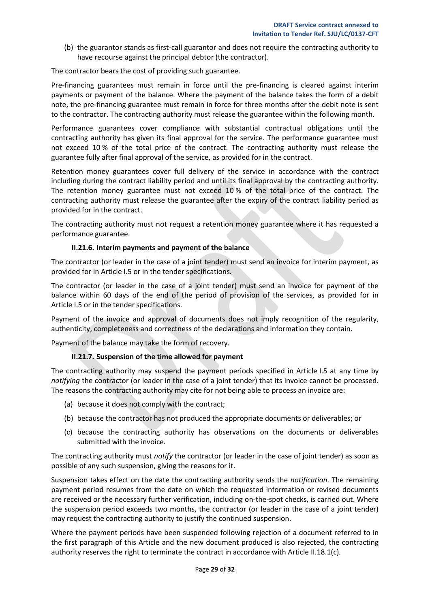(b) the guarantor stands as first-call guarantor and does not require the contracting authority to have recourse against the principal debtor (the contractor).

The contractor bears the cost of providing such guarantee.

Pre-financing guarantees must remain in force until the pre-financing is cleared against interim payments or payment of the balance. Where the payment of the balance takes the form of a debit note, the pre-financing guarantee must remain in force for three months after the debit note is sent to the contractor. The contracting authority must release the guarantee within the following month.

Performance guarantees cover compliance with substantial contractual obligations until the contracting authority has given its final approval for the service. The performance guarantee must not exceed 10 % of the total price of the contract. The contracting authority must release the guarantee fully after final approval of the service, as provided for in the contract.

Retention money guarantees cover full delivery of the service in accordance with the contract including during the contract liability period and until its final approval by the contracting authority. The retention money guarantee must not exceed 10 % of the total price of the contract. The contracting authority must release the guarantee after the expiry of the contract liability period as provided for in the contract.

The contracting authority must not request a retention money guarantee where it has requested a performance guarantee.

## **II.21.6. Interim payments and payment of the balance**

<span id="page-28-0"></span>The contractor (or leader in the case of a joint tender) must send an invoice for interim payment, as provided for in Article I.5 or in the tender specifications.

The contractor (or leader in the case of a joint tender) must send an invoice for payment of the balance within 60 days of the end of the period of provision of the services, as provided for in Article I.5 or in the tender specifications.

Payment of the invoice and approval of documents does not imply recognition of the regularity, authenticity, completeness and correctness of the declarations and information they contain.

<span id="page-28-1"></span>Payment of the balance may take the form of recovery.

## **II.21.7. Suspension of the time allowed for payment**

The contracting authority may suspend the payment periods specified in Article I.5 at any time by *notifying* the contractor (or leader in the case of a joint tender) that its invoice cannot be processed. The reasons the contracting authority may cite for not being able to process an invoice are:

- (a) because it does not comply with the contract;
- (b) because the contractor has not produced the appropriate documents or deliverables; or
- (c) because the contracting authority has observations on the documents or deliverables submitted with the invoice.

The contracting authority must *notify* the contractor (or leader in the case of joint tender) as soon as possible of any such suspension, giving the reasons for it.

Suspension takes effect on the date the contracting authority sends the *notification*. The remaining payment period resumes from the date on which the requested information or revised documents are received or the necessary further verification, including on-the-spot checks, is carried out. Where the suspension period exceeds two months, the contractor (or leader in the case of a joint tender) may request the contracting authority to justify the continued suspension.

Where the payment periods have been suspended following rejection of a document referred to in the first paragraph of this Article and the new document produced is also rejected, the contracting authority reserves the right to terminate the contract in accordance with Article II.18.1(c)*.*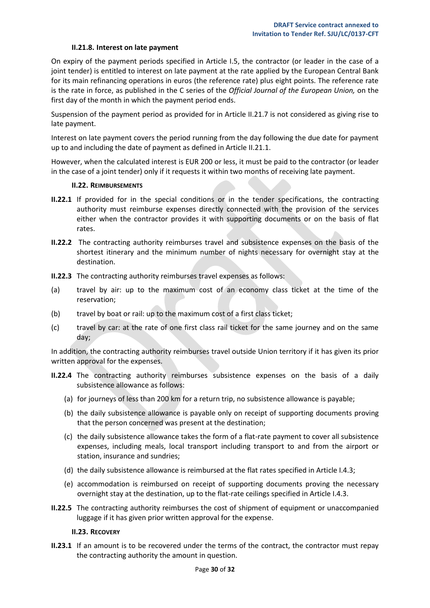#### **II.21.8. Interest on late payment**

<span id="page-29-0"></span>On expiry of the payment periods specified in Article I.5, the contractor (or leader in the case of a joint tender) is entitled to interest on late payment at the rate applied by the European Central Bank for its main refinancing operations in euros (the reference rate) plus eight points. The reference rate is the rate in force, as published in the C series of the *Official Journal of the European Union,* on the first day of the month in which the payment period ends.

Suspension of the payment period as provided for in Article II.21.7 is not considered as giving rise to late payment.

Interest on late payment covers the period running from the day following the due date for payment up to and including the date of payment as defined in Article II.21.1.

However, when the calculated interest is EUR 200 or less, it must be paid to the contractor (or leader in the case of a joint tender) only if it requests it within two months of receiving late payment.

#### **II.22. REIMBURSEMENTS**

- <span id="page-29-1"></span>**II.22.1** If provided for in the special conditions or in the tender specifications, the contracting authority must reimburse expenses directly connected with the provision of the services either when the contractor provides it with supporting documents or on the basis of flat rates.
- **II.22.2** The contracting authority reimburses travel and subsistence expenses on the basis of the shortest itinerary and the minimum number of nights necessary for overnight stay at the destination.
- **II.22.3** The contracting authority reimburses travel expenses as follows:
- (a) travel by air: up to the maximum cost of an economy class ticket at the time of the reservation;
- (b) travel by boat or rail: up to the maximum cost of a first class ticket;
- (c) travel by car: at the rate of one first class rail ticket for the same journey and on the same day;

In addition, the contracting authority reimburses travel outside Union territory if it has given its prior written approval for the expenses.

- **II.22.4** The contracting authority reimburses subsistence expenses on the basis of a daily subsistence allowance as follows:
	- (a) for journeys of less than 200 km for a return trip, no subsistence allowance is payable;
	- (b) the daily subsistence allowance is payable only on receipt of supporting documents proving that the person concerned was present at the destination;
	- (c) the daily subsistence allowance takes the form of a flat-rate payment to cover all subsistence expenses, including meals, local transport including transport to and from the airport or station, insurance and sundries;
	- (d) the daily subsistence allowance is reimbursed at the flat rates specified in Article I.4.3;
	- (e) accommodation is reimbursed on receipt of supporting documents proving the necessary overnight stay at the destination, up to the flat-rate ceilings specified in Article I.4.3.
- **II.22.5** The contracting authority reimburses the cost of shipment of equipment or unaccompanied luggage if it has given prior written approval for the expense.

#### **II.23. RECOVERY**

<span id="page-29-2"></span>**II.23.1** If an amount is to be recovered under the terms of the contract, the contractor must repay the contracting authority the amount in question.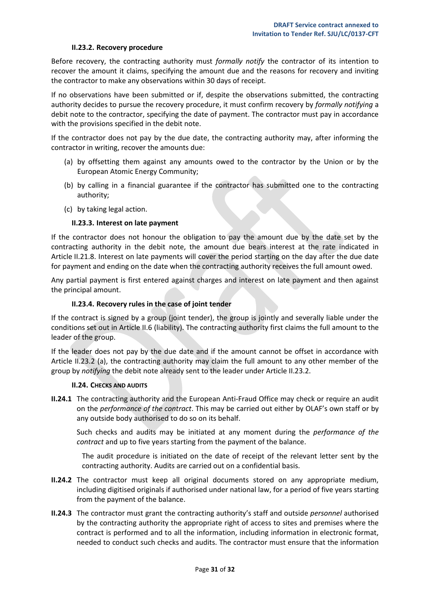#### **II.23.2. Recovery procedure**

<span id="page-30-0"></span>Before recovery, the contracting authority must *formally notify* the contractor of its intention to recover the amount it claims, specifying the amount due and the reasons for recovery and inviting the contractor to make any observations within 30 days of receipt.

If no observations have been submitted or if, despite the observations submitted, the contracting authority decides to pursue the recovery procedure, it must confirm recovery by *formally notifying* a debit note to the contractor, specifying the date of payment. The contractor must pay in accordance with the provisions specified in the debit note.

If the contractor does not pay by the due date, the contracting authority may, after informing the contractor in writing, recover the amounts due:

- (a) by offsetting them against any amounts owed to the contractor by the Union or by the European Atomic Energy Community;
- (b) by calling in a financial guarantee if the contractor has submitted one to the contracting authority;
- (c) by taking legal action.

#### **II.23.3. Interest on late payment**

<span id="page-30-1"></span>If the contractor does not honour the obligation to pay the amount due by the date set by the contracting authority in the debit note, the amount due bears interest at the rate indicated in Article II.21.8. Interest on late payments will cover the period starting on the day after the due date for payment and ending on the date when the contracting authority receives the full amount owed.

Any partial payment is first entered against charges and interest on late payment and then against the principal amount.

#### **II.23.4. Recovery rules in the case of joint tender**

<span id="page-30-2"></span>If the contract is signed by a group (joint tender), the group is jointly and severally liable under the conditions set out in Article II.6 (liability). The contracting authority first claims the full amount to the leader of the group.

If the leader does not pay by the due date and if the amount cannot be offset in accordance with Article II.23.2 (a), the contracting authority may claim the full amount to any other member of the group by *notifying* the debit note already sent to the leader under Article II.23.2.

#### **II.24. CHECKS AND AUDITS**

<span id="page-30-3"></span>**II.24.1** The contracting authority and the European Anti-Fraud Office may check or require an audit on the *performance of the contract*. This may be carried out either by OLAF's own staff or by any outside body authorised to do so on its behalf.

Such checks and audits may be initiated at any moment during the *performance of the contract* and up to five years starting from the payment of the balance.

The audit procedure is initiated on the date of receipt of the relevant letter sent by the contracting authority. Audits are carried out on a confidential basis.

- **II.24.2** The contractor must keep all original documents stored on any appropriate medium, including digitised originals if authorised under national law, for a period of five years starting from the payment of the balance.
- **II.24.3** The contractor must grant the contracting authority's staff and outside *personnel* authorised by the contracting authority the appropriate right of access to sites and premises where the contract is performed and to all the information, including information in electronic format, needed to conduct such checks and audits. The contractor must ensure that the information